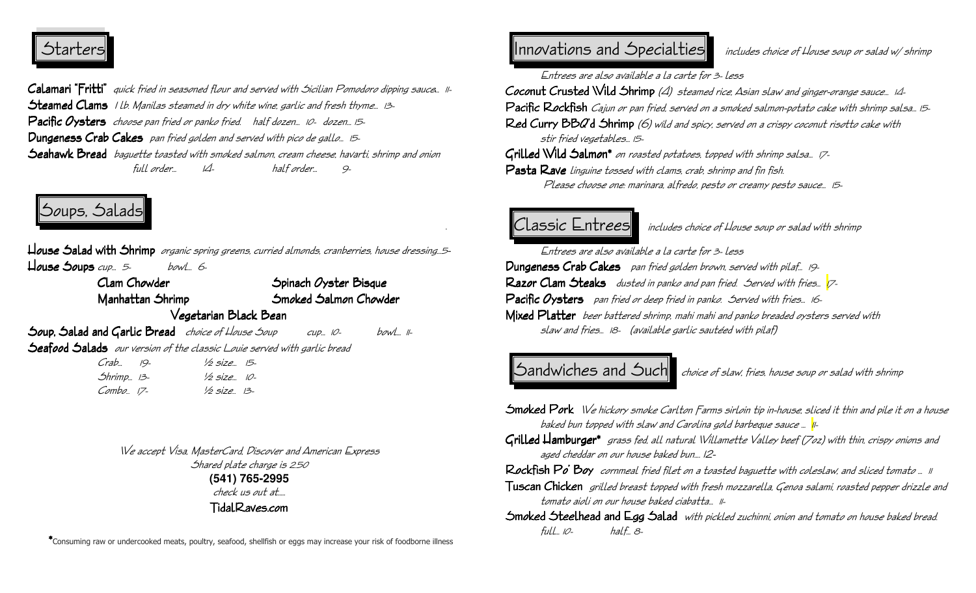## Starters

**Calamari "Fritti"** quick fried in seasaned flaur and served with Sicilian Pamadara dipping sauce... 11-Steamed Clams 1 lb. Manilas steamed in dry white wine, garlic and fresh thyme... 13-Pacific Oysters choose pan fried or panko fried. half dozen... 10- dozen... 15-Dungeness Crab Cakes pan fried golden and served with pico de gallo... 15-Seahawk Bread baguette toasted with smoked salmon, cream cheese, havarti, shrimp and onion full order… 14- half order… 9-

# Soups, Salads

House Salad with Shrimp organic spring greens, curried almonds, cranberries, house dressing…<sup>5</sup>-  $\hbox{\sf L}$ ouse Soups cup... 5- bowl... 6-

Clam Chowder Spinach *Oyster Bisque*  Manhattan ShrimpSmoked Salmon Chowder Vegetarian Black Bean

Soup, Salad and Garlic Bread *choice of House Soup* cup... 10- bowl... 11-Seafood Salads our version of the classic Louie served with garlic bread

| Crab 19-             | $\frac{1}{2}$ size $\frac{15}{2}$ |
|----------------------|-----------------------------------|
| 5hrimp 13-           | 1/2 size 10-                      |
| $Comb_{\varphi}$ 17- | 1/2 size 13-                      |

## We accept Visa, MasterCard, Discover and American Express

Shared plate charge is 2.50 **(541) 765-2995** check us out at…..

TidalRaves.com

\*Consuming raw or undercooked meats, poultry, seafood, shellfish or eggs may increase your risk of foodborne illness

### $|$ nnovations and Specialties includes choice of House soup or salad w/shrimp

Entrees are also available a la carte for 3- less

Coconut Crusted Wild Shrimp *(4) steamed rice, Asian slaw and ginger-orange sauce… 14*-

**Pacific Rockfish** Cajun *o*r pan fried, served on a smoked salmon-potato cake with shrimp salsa... 15-

Red Curry BBQ'd Shrimp (6) wild and spicy, served on a crispy coconut risotto cake with stir fried vegetables… 15-

Grilled Wild Salmon\* *on roasted potatoes, topped with shrimp salsa... 17*-

Pasta Rave linguine tossed with clams, crab, shrimp and fin fish. Please choose one: marinara, alfredo, pesto or creamy pesto sauce… 15-

 $\mathcal C$  Lassic  $\mathsf E$ ntrees  $\Vert$  includes choice of House soup or salad with shrimp

 Entrees are also available a la carte for 3- lessDungeness Crab Cakes pan fried golden brown, served with pilaf... 19-Razor Clam Steaks dusted in panko and pan fried. Served with fries... 7-Pacific Oysters pan fried or deep fried in panko. Served with fries... 16-Mixed Platter beer battered shrimp, mahi mahi and panko breaded oysters served with slaw and fries… 18- (available garlic sautéed with pilaf)

 $\mathcal S$ andwich $e$ s and  $\mathcal S$ uch choice of slaw, fries, house soup or salad with shrimp

- **Smoked Pork** W*e* hick*ory smoke Carlton Farms sirloin tip in-house, sliced it thin and pile it on a house* baked bun topped with slaw and Carolina gold barbeque sauce … 11-
- $G$ rilled  ${\mathcal H}$ amburger\*  $\,$ grass fed, all natural Willamette Valley beef (7oz) with thin, crispy onions and aged cheddar on our house baked bun…. 12-
- Rockfish Po' Boy cornmeal fried filet on a toasted baguette with coleslaw, and sliced tomato … 11
- $\top$ uscan Chicken  $\;$  grilled breast tapped with fresh mazzarella, Genaa salami, raasted pepper drizzle and tomato aioli on our house baked ciabatta… 11-
- $\mathop{\mathsf{Smoked}}$  Steelhead and Egg Salad  $\,$  with pickled zuchinni, onion and tomato on house baked bread. full… 10- half… 8-